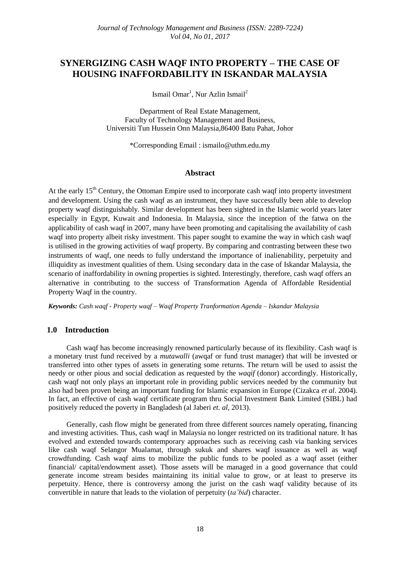# **SYNERGIZING CASH WAQF INTO PROPERTY – THE CASE OF HOUSING INAFFORDABILITY IN ISKANDAR MALAYSIA**

Ismail Omar<sup>1</sup>, Nur Azlin Ismail<sup>2</sup>

Department of Real Estate Management, Faculty of Technology Management and Business, Universiti Tun Hussein Onn Malaysia,86400 Batu Pahat, Johor

\*Corresponding Email : [ismailo@uthm.edu.my](mailto:ismailo@uthm.edu.my)

#### **Abstract**

At the early 15<sup>th</sup> Century, the Ottoman Empire used to incorporate cash waqf into property investment and development. Using the cash waqf as an instrument, they have successfully been able to develop property waqf distinguishably. Similar development has been sighted in the Islamic world years later especially in Egypt, Kuwait and Indonesia. In Malaysia, since the inception of the fatwa on the applicability of cash waqf in 2007, many have been promoting and capitalising the availability of cash waqf into property albeit risky investment. This paper sought to examine the way in which cash waqf is utilised in the growing activities of waqf property. By comparing and contrasting between these two instruments of waqf, one needs to fully understand the importance of inalienability, perpetuity and illiquidity as investment qualities of them. Using secondary data in the case of Iskandar Malaysia, the scenario of inaffordability in owning properties is sighted. Interestingly, therefore, cash waqf offers an alternative in contributing to the success of Transformation Agenda of Affordable Residential Property Waqf in the country.

*Keywords: Cash waqf - Property waqf – Waqf Property Tranformation Agenda – Iskandar Malaysia*

#### **1.0 Introduction**

Cash waqf has become increasingly renowned particularly because of its flexibility. Cash waqf is a monetary trust fund received by a *mutawalli* (awqaf or fund trust manager) that will be invested or transferred into other types of assets in generating some returns. The return will be used to assist the needy or other pious and social dedication as requested by the *waqif* (donor) accordingly. Historically, cash waqf not only plays an important role in providing public services needed by the community but also had been proven being an important funding for Islamic expansion in Europe (Cizakca *et al*. 2004). In fact, an effective of cash waqf certificate program thru Social Investment Bank Limited (SIBL) had positively reduced the poverty in Bangladesh (al Jaberi *et. al*, 2013).

Generally, cash flow might be generated from three different sources namely operating, financing and investing activities. Thus, cash waqf in Malaysia no longer restricted on its traditional nature. It has evolved and extended towards contemporary approaches such as receiving cash via banking services like cash waqf Selangor Mualamat, through sukuk and shares waqf issuance as well as waqf crowdfunding. Cash waqf aims to mobilize the public funds to be pooled as a waqf asset (either financial/ capital/endowment asset). Those assets will be managed in a good governance that could generate income stream besides maintaining its initial value to grow, or at least to preserve its perpetuity. Hence, there is controversy among the jurist on the cash waqf validity because of its convertible in nature that leads to the violation of perpetuity (*ta'bid*) character.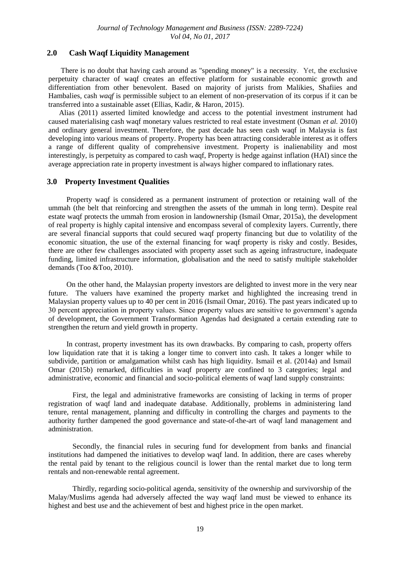## **2.0 Cash Waqf Liquidity Management**

There is no doubt that having cash around as "spending money" is a necessity. Yet, the exclusive perpetuity character of waqf creates an effective platform for sustainable economic growth and differentiation from other benevolent. Based on majority of jurists from Malikies, Shafiies and Hambalies, cash *waqf* is permissible subject to an element of non-preservation of its corpus if it can be transferred into a sustainable asset (Ellias, Kadir, & Haron, 2015).

Alias (2011) asserted limited knowledge and access to the potential investment instrument had caused materialising cash waqf monetary values restricted to real estate investment (Osman *et al.* 2010) and ordinary general investment. Therefore, the past decade has seen cash waqf in Malaysia is fast developing into various means of property. Property has been attracting considerable interest as it offers a range of different quality of comprehensive investment. Property is inalienability and most interestingly, is perpetuity as compared to cash waqf, Property is hedge against inflation (HAI) since the average appreciation rate in property investment is always higher compared to inflationary rates.

#### **3.0 Property Investment Qualities**

Property waqf is considered as a permanent instrument of protection or retaining wall of the ummah (the belt that reinforcing and strengthen the assets of the ummah in long term). Despite real estate waqf protects the ummah from erosion in landownership (Ismail Omar, 2015a), the development of real property is highly capital intensive and encompass several of complexity layers. Currently, there are several financial supports that could secured waqf property financing but due to volatility of the economic situation, the use of the external financing for waqf property is risky and costly. Besides, there are other few challenges associated with property asset such as ageing infrastructure, inadequate funding, limited infrastructure information, globalisation and the need to satisfy multiple stakeholder demands (Too &Too, 2010).

On the other hand, the Malaysian property investors are delighted to invest more in the very near future. The valuers have examined the property market and highlighted the increasing trend in Malaysian property values up to 40 per cent in 2016 (Ismail Omar, 2016). The past years indicated up to 30 percent appreciation in property values. Since property values are sensitive to government's agenda of development, the Government Transformation Agendas had designated a certain extending rate to strengthen the return and yield growth in property.

In contrast, property investment has its own drawbacks. By comparing to cash, property offers low liquidation rate that it is taking a longer time to convert into cash. It takes a longer while to subdivide, partition or amalgamation whilst cash has high liquidity. Ismail et al. (2014a) and Ismail Omar (2015b) remarked, difficulties in waqf property are confined to 3 categories; legal and administrative, economic and financial and socio-political elements of waqf land supply constraints:

First, the legal and administrative frameworks are consisting of lacking in terms of proper registration of waqf land and inadequate database. Additionally, problems in administering land tenure, rental management, planning and difficulty in controlling the charges and payments to the authority further dampened the good governance and state-of-the-art of waqf land management and administration.

Secondly, the financial rules in securing fund for development from banks and financial institutions had dampened the initiatives to develop waqf land. In addition, there are cases whereby the rental paid by tenant to the religious council is lower than the rental market due to long term rentals and non-renewable rental agreement.

Thirdly, regarding socio-political agenda, sensitivity of the ownership and survivorship of the Malay/Muslims agenda had adversely affected the way waqf land must be viewed to enhance its highest and best use and the achievement of best and highest price in the open market.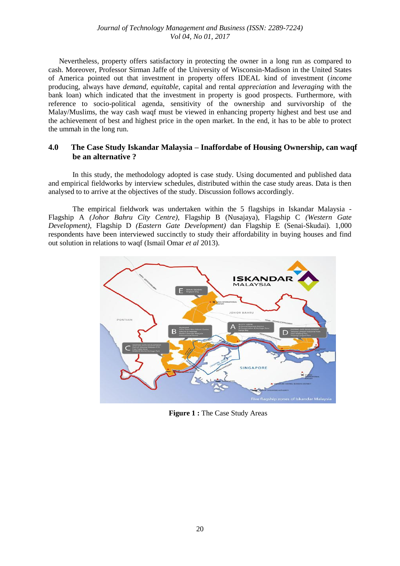Nevertheless, property offers satisfactory in protecting the owner in a long run as compared to cash. Moreover, Professor Sirman Jaffe of the University of Wisconsin-Madison in the United States of America pointed out that investment in property offers IDEAL kind of investment (*income* producing, always have *demand*, *equitable*, capital and rental *appreciation* and *leveraging* with the bank loan) which indicated that the investment in property is good prospects. Furthermore, with reference to socio-political agenda, sensitivity of the ownership and survivorship of the Malay/Muslims, the way cash waqf must be viewed in enhancing property highest and best use and the achievement of best and highest price in the open market. In the end, it has to be able to protect the ummah in the long run.

## **4.0 The Case Study Iskandar Malaysia – Inaffordabe of Housing Ownership, can waqf be an alternative ?**

In this study, the methodology adopted is case study. Using documented and published data and empirical fieldworks by interview schedules, distributed within the case study areas. Data is then analysed to to arrive at the objectives of the study. Discussion follows accordingly.

The empirical fieldwork was undertaken within the 5 flagships in Iskandar Malaysia - Flagship A *(Johor Bahru City Centre),* Flagship B (Nusajaya), Flagship C *(Western Gate Development),* Flagship D *(Eastern Gate Development)* dan Flagship E (Senai-Skudai). 1,000 respondents have been interviewed succinctly to study their affordability in buying houses and find out solution in relations to waqf (Ismail Omar *et al* 2013).



**Figure 1 : The Case Study Areas**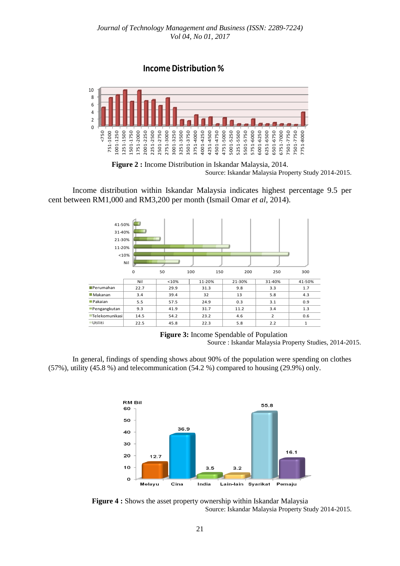

Source: Iskandar Malaysia Property Study 2014-2015.

Income distribution within Iskandar Malaysia indicates highest percentage 9.5 per cent between RM1,000 and RM3,200 per month (Ismail Omar *et al*, 2014).



**Figure 3:** Income Spendable of Population Source : Iskandar Malaysia Property Studies, 2014-2015.

In general, findings of spending shows about 90% of the population were spending on clothes (57%), utility (45.8 %) and telecommunication (54.2 %) compared to housing (29.9%) only.



**Figure 4 :** Shows the asset property ownership within Iskandar Malaysia Source: Iskandar Malaysia Property Study 2014-2015.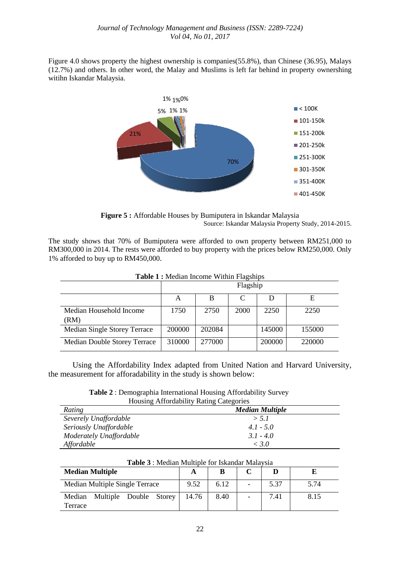Figure 4.0 shows property the highest ownership is companies(55.8%), than Chinese (36.95), Malays (12.7%) and others. In other word, the Malay and Muslims is left far behind in property ownershing witihn Iskandar Malaysia.



**Figure 5 :** Affordable Houses by Bumiputera in Iskandar Malaysia Source: Iskandar Malaysia Property Study, 2014-2015.

The study shows that 70% of Bumiputera were afforded to own property between RM251,000 to RM300,000 in 2014. The rests were afforded to buy property with the prices below RM250,000. Only 1% afforded to buy up to RM450,000.

| <b>Table 1:</b> McGian Income Widney Lagsings |          |        |      |        |        |  |  |  |  |
|-----------------------------------------------|----------|--------|------|--------|--------|--|--|--|--|
|                                               | Flagship |        |      |        |        |  |  |  |  |
|                                               | A        |        |      | Ð      |        |  |  |  |  |
| Median Household Income<br>(RM)               | 1750     | 2750   | 2000 | 2250   | 2250   |  |  |  |  |
| Median Single Storey Terrace                  | 200000   | 202084 |      | 145000 | 155000 |  |  |  |  |
| Median Double Storey Terrace                  | 310000   | 277000 |      | 200000 | 220000 |  |  |  |  |

**Table 1 :** Median Income Within Flagships

Using the Affordability Index adapted from United Nation and Harvard University, the measurement for afforadability in the study is shown below:

**Table 2** : Demographia International Housing Affordability Survey Housing Affordability Rating Categories

| Rating                  | <b>Median Multiple</b> |  |  |  |
|-------------------------|------------------------|--|--|--|
| Severely Unaffordable   | > 5.1                  |  |  |  |
| Seriously Unaffordable  | $4.1 - 5.0$            |  |  |  |
| Moderately Unaffordable | $3.1 - 4.0$            |  |  |  |
| Affordable              | < 3.0                  |  |  |  |

| A WAZAR REFLEXANDED IN INTERNATIONAL IN ANIMENTAL IN THE PARTY OF THE PARTY OF THE PARTY OF THE PARTY OF THE P |       |      |  |      |      |  |  |  |
|----------------------------------------------------------------------------------------------------------------|-------|------|--|------|------|--|--|--|
| <b>Median Multiple</b>                                                                                         |       |      |  |      |      |  |  |  |
| Median Multiple Single Terrace                                                                                 | 9.52  | 6.12 |  | 5.37 | 5.74 |  |  |  |
| Multiple Double Storey<br>Median<br>Terrace                                                                    | 14.76 | 8.40 |  | 7.41 | 8.15 |  |  |  |

**Table 3** : Median Multiple for Iskandar Malaysia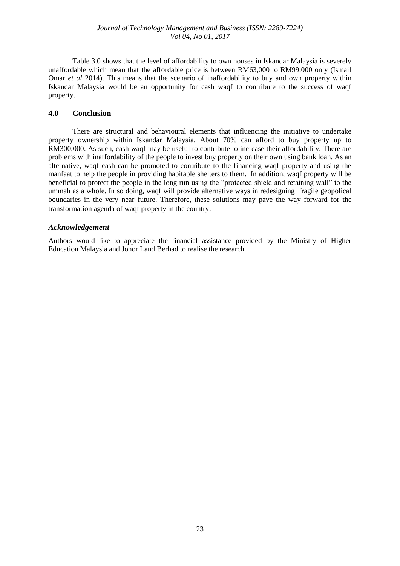Table 3.0 shows that the level of affordability to own houses in Iskandar Malaysia is severely unaffordable which mean that the affordable price is between RM63,000 to RM99,000 only (Ismail Omar *et al* 2014). This means that the scenario of inaffordability to buy and own property within Iskandar Malaysia would be an opportunity for cash waqf to contribute to the success of waqf property.

## **4.0 Conclusion**

There are structural and behavioural elements that influencing the initiative to undertake property ownership within Iskandar Malaysia. About 70% can afford to buy property up to RM300,000. As such, cash waqf may be useful to contribute to increase their affordability. There are problems with inaffordability of the people to invest buy property on their own using bank loan. As an alternative, waqf cash can be promoted to contribute to the financing waqf property and using the manfaat to help the people in providing habitable shelters to them. In addition, waqf property will be beneficial to protect the people in the long run using the "protected shield and retaining wall" to the ummah as a whole. In so doing, waqf will provide alternative ways in redesigning fragile geopolical boundaries in the very near future. Therefore, these solutions may pave the way forward for the transformation agenda of waqf property in the country.

## *Acknowledgement*

Authors would like to appreciate the financial assistance provided by the Ministry of Higher Education Malaysia and Johor Land Berhad to realise the research.